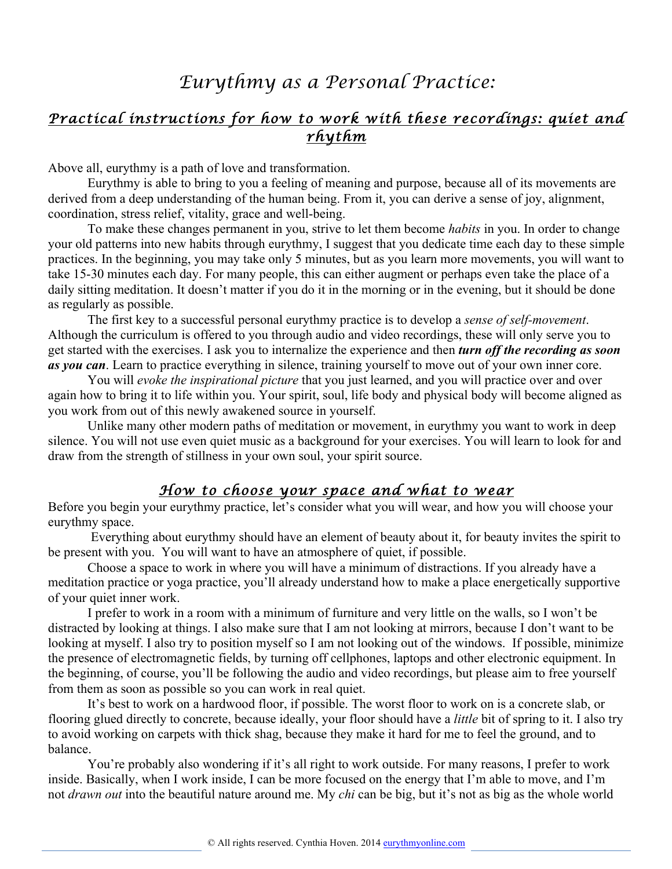## *Eurythmy as a Personal Practice:*

## *Practical instructions for how to work with these recordings: quiet and rhythm*

Above all, eurythmy is a path of love and transformation.

Eurythmy is able to bring to you a feeling of meaning and purpose, because all of its movements are derived from a deep understanding of the human being. From it, you can derive a sense of joy, alignment, coordination, stress relief, vitality, grace and well-being.

To make these changes permanent in you, strive to let them become *habits* in you. In order to change your old patterns into new habits through eurythmy, I suggest that you dedicate time each day to these simple practices. In the beginning, you may take only 5 minutes, but as you learn more movements, you will want to take 15-30 minutes each day. For many people, this can either augment or perhaps even take the place of a daily sitting meditation. It doesn't matter if you do it in the morning or in the evening, but it should be done as regularly as possible.

The first key to a successful personal eurythmy practice is to develop a *sense of self-movement*. Although the curriculum is offered to you through audio and video recordings, these will only serve you to get started with the exercises. I ask you to internalize the experience and then *turn off the recording as soon as you can*. Learn to practice everything in silence, training yourself to move out of your own inner core.

You will *evoke the inspirational picture* that you just learned, and you will practice over and over again how to bring it to life within you. Your spirit, soul, life body and physical body will become aligned as you work from out of this newly awakened source in yourself.

Unlike many other modern paths of meditation or movement, in eurythmy you want to work in deep silence. You will not use even quiet music as a background for your exercises. You will learn to look for and draw from the strength of stillness in your own soul, your spirit source.

## *How to choose your space and what to wear*

Before you begin your eurythmy practice, let's consider what you will wear, and how you will choose your eurythmy space.

Everything about eurythmy should have an element of beauty about it, for beauty invites the spirit to be present with you. You will want to have an atmosphere of quiet, if possible.

Choose a space to work in where you will have a minimum of distractions. If you already have a meditation practice or yoga practice, you'll already understand how to make a place energetically supportive of your quiet inner work.

I prefer to work in a room with a minimum of furniture and very little on the walls, so I won't be distracted by looking at things. I also make sure that I am not looking at mirrors, because I don't want to be looking at myself. I also try to position myself so I am not looking out of the windows. If possible, minimize the presence of electromagnetic fields, by turning off cellphones, laptops and other electronic equipment. In the beginning, of course, you'll be following the audio and video recordings, but please aim to free yourself from them as soon as possible so you can work in real quiet.

It's best to work on a hardwood floor, if possible. The worst floor to work on is a concrete slab, or flooring glued directly to concrete, because ideally, your floor should have a *little* bit of spring to it. I also try to avoid working on carpets with thick shag, because they make it hard for me to feel the ground, and to balance.

You're probably also wondering if it's all right to work outside. For many reasons, I prefer to work inside. Basically, when I work inside, I can be more focused on the energy that I'm able to move, and I'm not *drawn out* into the beautiful nature around me. My *chi* can be big, but it's not as big as the whole world